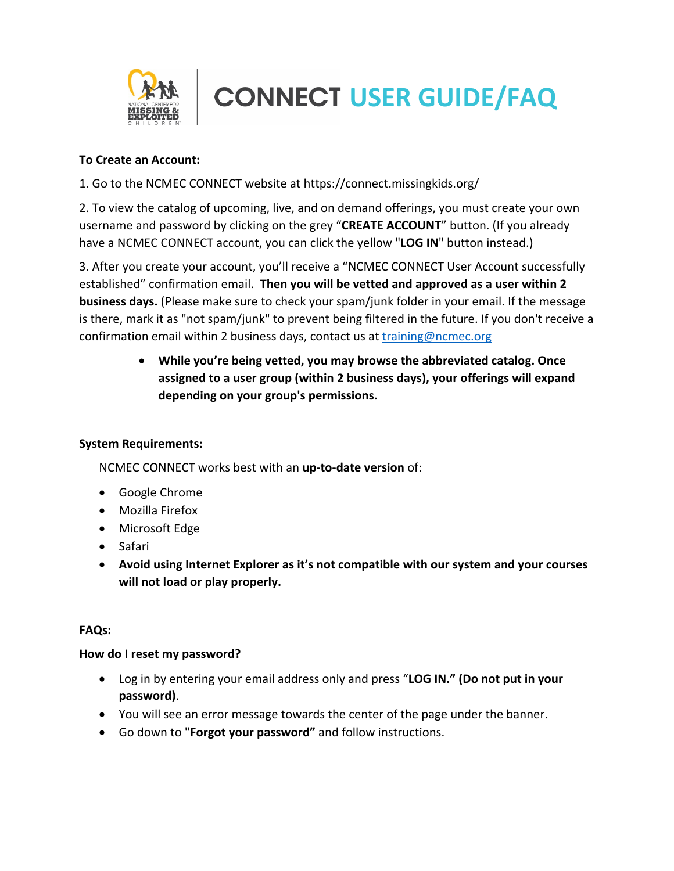

# **CONNECT USER GUIDE/FAQ**

#### **To Create an Account:**

1. Go to the NCMEC CONNECT website at https://connect.missingkids.org/

2. To view the catalog of upcoming, live, and on demand offerings, you must create your own username and password by clicking on the grey "**CREATE ACCOUNT**" button. (If you already have a NCMEC CONNECT account, you can click the yellow "**LOG IN**" button instead.)

3. After you create your account, you'll receive a "NCMEC CONNECT User Account successfully established" confirmation email. **Then you will be vetted and approved as a user within 2 business days.** (Please make sure to check your spam/junk folder in your email. If the message is there, mark it as "not spam/junk" to prevent being filtered in the future. If you don't receive a confirmation email within 2 business days, contact us at [training@ncmec.org](mailto:training@ncmec.org)

> • **While you're being vetted, you may browse the abbreviated catalog. Once assigned to a user group (within 2 business days), your offerings will expand depending on your group's permissions.**

# **System Requirements:**

NCMEC CONNECT works best with an **up-to-date version** of:

- Google Chrome
- Mozilla Firefox
- Microsoft Edge
- Safari
- **Avoid using Internet Explorer as it's not compatible with our system and your courses will not load or play properly.**

#### **FAQs:**

#### **How do I reset my password?**

- Log in by entering your email address only and press "**LOG IN." (Do not put in your password)**.
- You will see an error message towards the center of the page under the banner.
- Go down to "**Forgot your password"** and follow instructions.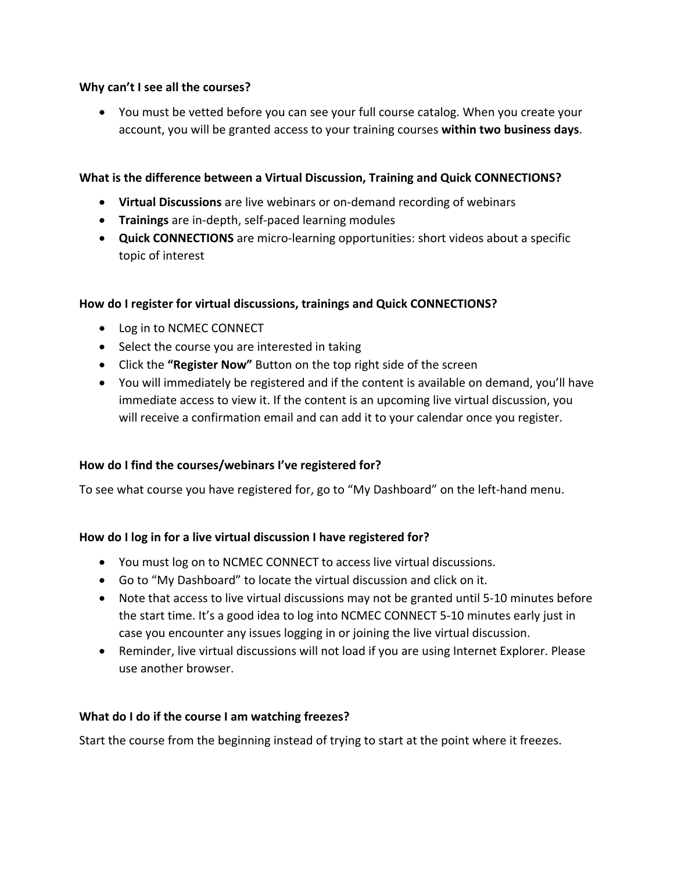#### **Why can't I see all the courses?**

• You must be vetted before you can see your full course catalog. When you create your account, you will be granted access to your training courses **within two business days**.

#### **What is the difference between a Virtual Discussion, Training and Quick CONNECTIONS?**

- **Virtual Discussions** are live webinars or on-demand recording of webinars
- **Trainings** are in-depth, self-paced learning modules
- **Quick CONNECTIONS** are micro-learning opportunities: short videos about a specific topic of interest

#### **How do I register for virtual discussions, trainings and Quick CONNECTIONS?**

- Log in to NCMEC CONNECT
- Select the course you are interested in taking
- Click the **"Register Now"** Button on the top right side of the screen
- You will immediately be registered and if the content is available on demand, you'll have immediate access to view it. If the content is an upcoming live virtual discussion, you will receive a confirmation email and can add it to your calendar once you register.

# **How do I find the courses/webinars I've registered for?**

To see what course you have registered for, go to "My Dashboard" on the left-hand menu.

# **How do I log in for a live virtual discussion I have registered for?**

- You must log on to NCMEC CONNECT to access live virtual discussions.
- Go to "My Dashboard" to locate the virtual discussion and click on it.
- Note that access to live virtual discussions may not be granted until 5-10 minutes before the start time. It's a good idea to log into NCMEC CONNECT 5-10 minutes early just in case you encounter any issues logging in or joining the live virtual discussion.
- Reminder, live virtual discussions will not load if you are using Internet Explorer. Please use another browser.

#### **What do I do if the course I am watching freezes?**

Start the course from the beginning instead of trying to start at the point where it freezes.